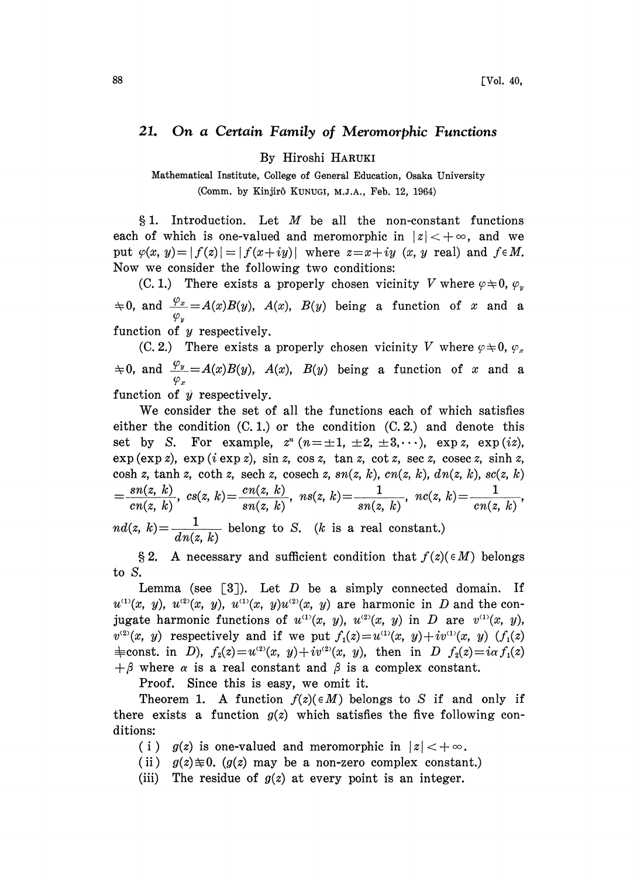## 21. On a Certain Family of Meromorphic Functions

By Hiroshi HARUKI

Mathematical Institute, College of General Education, Osaka University (Comm. by Kinjir6 KUNUGI, M.J.A., Feb. 12, 1964)

§ 1. Introduction. Let  $M$  be all the non-constant functions each of which is one-valued and meromorphic in  $|z| < +\infty$ , and we put  $\varphi(x, y)=|f(z)|=|f(x+iy)|$  where  $z=x+iy$  (x, y real) and  $f \in M$ . Now we consider the following two conditions:

(C. 1.) There exists a properly chosen vicinity V where  $\varphi \neq 0$ ,  $\varphi_y$  $\Rightarrow$  0, and  $\frac{\varphi_x}{\varphi_y} = A(x)B(y)$ ,  $A(x)$ ,  $B(y)$  being a function of x and a function of y respectively.

(C. 2.) There exists a properly chosen vicinity V where  $\varphi \neq 0$ ,  $\varphi_x$  $\neq 0$ , and  $\frac{\varphi_y}{\varphi_x} = A(x)B(y)$ ,  $A(x)$ ,  $B(y)$  being a function of x and a function of  $\hat{y}$  respectively.

We consider the set of all the functions each of which satisfies either the condition  $(C, 1)$  or the condition  $(C, 2)$  and denote this set by S. For example,  $z^n$   $(n=\pm 1, \pm 2, \pm 3, \cdots)$ , exp z, exp(iz),  $\exp(\exp z)$ ,  $\exp(i \exp z)$ ,  $\sin z$ ,  $\cos z$ ,  $\tan z$ ,  $\cot z$ ,  $\sec z$ ,  $\csc z$ ,  $\sinh z$ , cosh z, tanh z, coth z, sech z, cosech z,  $sn(z, k)$ ,  $cn(z, k)$ ,  $dn(z, k)$ ,  $sc(z, k)$  $\frac{sn(z, k)}{ns(z, k)}, \ cs(z, k) = \frac{cn(z, k)}{ns(z, k)}, \ ns(z, k) = \frac{1}{ns(z, k)}, \ nc(z, k) = \frac{1}{ns(z, k)}$  $cn(z, k)$  sn(z, k) sn(z, k) sn(z, k) cn(z, k)  $nd(z, k) = \frac{1}{dn(z, k)}$  belong to S. (k is a real constant.)

§ 2. A necessary and sufficient condition that  $f(z)(\in M)$  belongs to S.

Lemma (see  $[3]$ ). Let D be a simply connected domain. If  $u^{(1)}(x, y)$ ,  $u^{(2)}(x, y)$ ,  $u^{(1)}(x, y)u^{(2)}(x, y)$  are harmonic in D and the conjugate harmonic functions of  $u^{(1)}(x, y)$ ,  $u^{(2)}(x, y)$  in D are  $v^{(1)}(x, y)$ ,  $v^{(2)}(x, y)$  respectively and if we put  $f_1(z)=u^{(1)}(x, y)+iv^{(1)}(x, y)$  ( $f_1(z)$ )  $\equiv$ const. in D),  $f_2(z) = u^{(2)}(x, y) + iv^{(2)}(x, y)$ , then in D  $f_2(z) = i\alpha f_1(z)$  $+\beta$  where  $\alpha$  is a real constant and  $\beta$  is a complex constant.

Proof. Since this is easy, we omit it.

Theorem 1. A function  $f(z) \in M$ ) belongs to S if and only if there exists a function  $g(z)$  which satisfies the five following conditions:

(i)  $g(z)$  is one-valued and meromorphic in  $|z| < +\infty$ .

- (ii)  $g(z) \neq 0$ . ( $g(z)$  may be a non-zero complex constant.)
- (iii) The residue of  $g(z)$  at every point is an integer.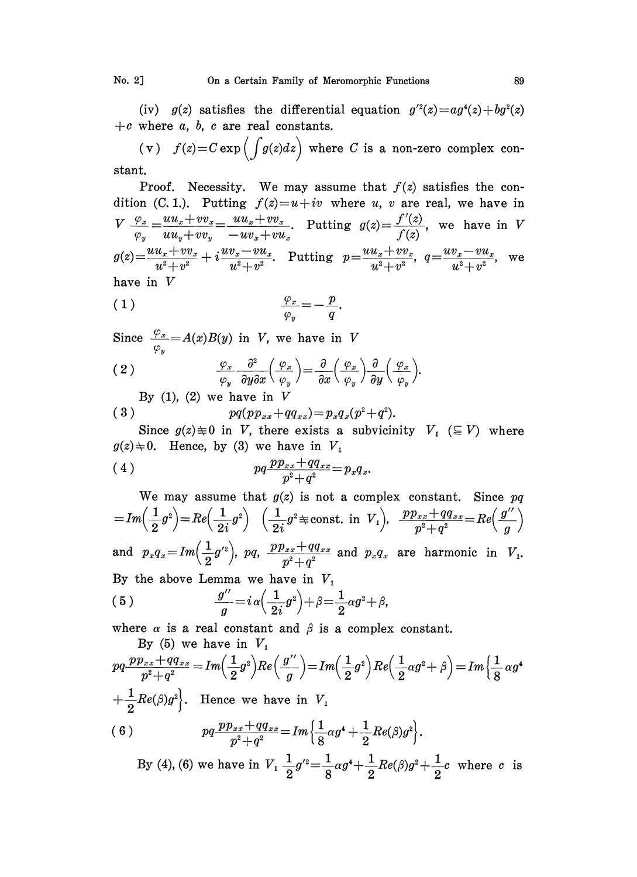(iv)  $g(z)$  satisfies the differential equation  $g^{2}(z)=ag^{4}(z)+bg^{2}(z)$ +c where  $a, b, c$  are real constants.

(v)  $f(z)=C \exp \left(\int g(z)dz\right)$  where C is a non-zero complex constant.

Proof. Necessity. We may assume that  $f(z)$  satisfies the condition (C. 1.). Putting  $f(z)=u+iv$  where u, v are real, we have in  $V \frac{\varphi_x}{\varphi_y} = \frac{uu_x + vv_x}{uu_y + vv_y} = \frac{uu_x + vv_x}{-uv_x + vu_x}$ . Putting  $g(z) = \frac{f'(z)}{f(z)}$ , we have in V  $uu_y + vv_y -uv_x +vu_x$  f(z)  $g(z) = \frac{uu_x + vv_x}{u^2+v^2} + i \frac{uv_x - vu_x}{u^2+v^2}.$  Putting  $p = \frac{uu_x + vv_x}{u^2+v^2}, q = \frac{uv_x - vu_x}{u^2+v^2},$  we have in V

$$
\frac{\varphi_x}{\varphi_y} = -\frac{p}{q}.
$$

Since  $\frac{\varphi_x}{\varphi_y}=A(x)B(y)$  in V, we have in V

$$
(2) \qquad \qquad \frac{\varphi_x}{\varphi_y} \frac{\partial^2}{\partial y \partial x} \Big( \frac{\varphi_x}{\varphi_y} \Big) = \frac{\partial}{\partial x} \Big( \frac{\varphi_x}{\varphi_y} \Big) \frac{\partial}{\partial y} \Big( \frac{\varphi_x}{\varphi_y} \Big).
$$

By  $(1)$ ,  $(2)$  we have in V

$$
(3) \t pq(p p_{xx} + q q_{xx}) = p_x q_x (p^2 + q^2).
$$

Since  $g(z) \neq 0$  in V, there exists a subvicinity  $V_1 \subseteq V$ ) where  $g(z) \pm 0$ . Hence, by (3) we have in  $V_1$ 

(4) 
$$
pq\frac{pp_{xx} + qq_{xx}}{p^2 + q^2} = p_x q_x.
$$

We may assume that  $g(z)$  is not a complex constant. Sin<br>= $Im\left(\frac{1}{2}g^2\right)=Re\left(\frac{1}{2i}g^2\right)\left(\frac{1}{2i}g^2\right)=\frac{1}{2i}$  ( $\frac{1}{2i}g^2\right)=\frac{p_2}{2i}$  and  $V_1$ ),  $\frac{p p_{xx}+q q_{xx}}{p^2+q^2}=Re$ We may assume that  $g(z)$  is not a complex constant. Since  $pq$ and  $p_x q_x = Im\left(\frac{1}{2}g'^2\right)$ ,  $pq$ ,  $\frac{p p_{xx} + qq_{xx}}{x^2 + x^2}$  and  $p_x q_x$  are harmonic in  $V_1$ . By the above Lemma we have in  $V_1$ (5)  $\frac{g''}{a} = i \alpha \left( \frac{1}{2} g^2 \right) + \beta = \frac{1}{2} \alpha g^2 + \beta,$ 

where  $\alpha$  is a real constant and  $\beta$  is a complex constant. By  $(5)$  we have in  $V$ .

$$
pq \frac{pp_{xx} + qq_{xx}}{p^2 + q^2} = Im\left(\frac{1}{2}g^2\right)Re\left(\frac{g^{\prime\prime}}{g}\right) = Im\left(\frac{1}{2}g^2\right)Re\left(\frac{1}{2}\alpha g^2 + \beta\right) = Im\left\{\frac{1}{8}\alpha g^4\right\}
$$
  
+ 
$$
\frac{1}{2}Re(\beta)g^2\Bigg\}.
$$
 Hence we have in  $V_1$   
(6) 
$$
pq \frac{pp_{xx} + qq_{xx}}{p^2 + q^2} = Im\left\{\frac{1}{8}\alpha g^4 + \frac{1}{2}Re(\beta)g^2\right\}.
$$

By (4), (6) we have in  $V_1$  $\frac{1}{2}g'^2 = \frac{1}{8}ag^4 + \frac{1}{2}Re(\beta)g^2 + \frac{1}{2}c$  where c is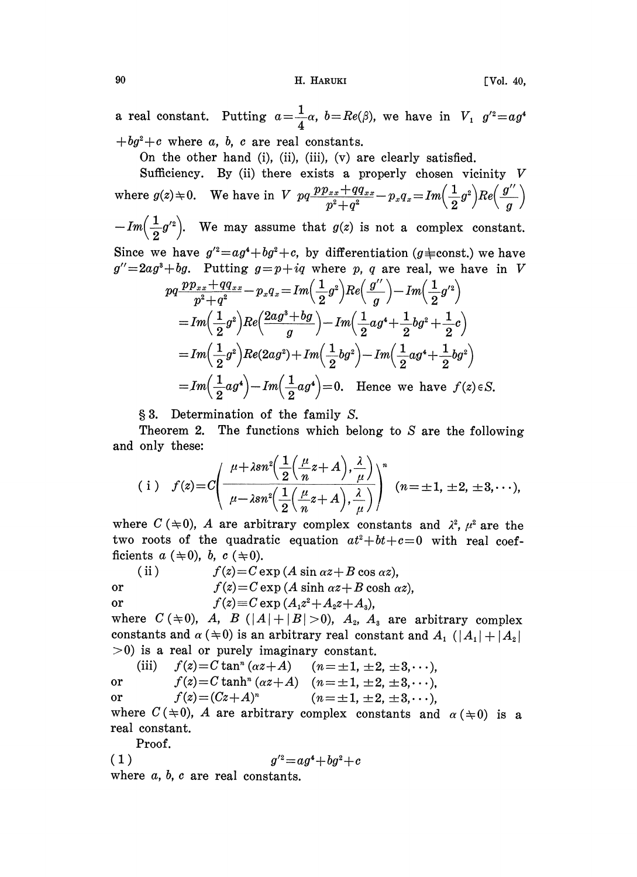90 **H. HARUKI FVol. 40** 

a real constant. Putting  $a=\frac{1}{4}\alpha$ ,  $b=Re(\beta)$ , we have in  $V_1$   $g'^2=ag$  $+bg^{2}+c$  where a, b, c are real constants.

On the other hand (i), (ii), (iii), (v) are clearly satisfied.

Sufficiency. By (ii) there exists a properly chosen vicinity  $V$ where  $g(z) \neq 0$ . We have in V  $pq\frac{pp_{xx} + qq_{xx}}{p^2+q^2} - p_xq_x = Im\left(\frac{1}{2}g^2\right)Re\left(\frac{g''}{g}\right)$ 

 $-Im\left(\frac{1}{2}g'^2\right)$ . We may assume that  $g(z)$  is not a complex constant. Since we have  $g'^2 = ag^4 + bg^2 + c$ , by differentiation (g  $\neq$  const.) we have

 $g''=2ag^3+bg$ . Putting  $g=p+iq$  where p, q are real, we have in V

$$
pq \frac{pp_{xx} + qq_{xx}}{p^2 + q^2} - p_x q_x = Im\left(\frac{1}{2}g^2\right)Re\left(\frac{g''}{g}\right) - Im\left(\frac{1}{2}g'^2\right)
$$
  
=  $Im\left(\frac{1}{2}g^2\right)Re\left(\frac{2ag^3 + bg}{g}\right) - Im\left(\frac{1}{2}ag^4 + \frac{1}{2}bg^2 + \frac{1}{2}c\right)$   
=  $Im\left(\frac{1}{2}g^2\right)Re(2ag^2) + Im\left(\frac{1}{2}bg^2\right) - Im\left(\frac{1}{2}ag^4 + \frac{1}{2}bg^2\right)$   
=  $Im\left(\frac{1}{2}ag^4\right) - Im\left(\frac{1}{2}ag^4\right) = 0$ . Hence we have  $f(z) \in S$ .

3. Determination of the family S.

Theorem 2. The functions which belong to  $S$  are the following and only these:

(i) 
$$
f(z) = C \left( \frac{\mu + \lambda sn^2 \left( \frac{1}{2} \left( \frac{\mu}{n} z + A \right), \frac{\lambda}{\mu} \right)}{\mu - \lambda sn^2 \left( \frac{1}{2} \left( \frac{\mu}{n} z + A \right), \frac{\lambda}{\mu} \right)} \right)^n
$$
  $(n = \pm 1, \pm 2, \pm 3, \cdots),$ 

where  $C \neq 0$ , A are arbitrary complex constants and  $\lambda^2$ ,  $\mu^2$  are the two roots of the quadratic equation  $at^2+bt+c=0$  with real coefficients  $a \ (\pm 0)$ ,  $b$ ,  $c \ (\pm 0)$ .

(ii)  $f(z) = C \exp (A \sin \alpha z + B \cos \alpha z)$ , or  $f(z)=C \exp (A \sinh \alpha z+B \cosh \alpha z)$ , or  $f(z) \equiv C \exp(A_1 z^2 + A_2 z + A_3),$ 

where  $C(\pm 0)$ , A, B  $(|A|+|B|>0)$ , A<sub>2</sub>, A<sub>3</sub> are arbitrary complex constants and  $\alpha$  ( $\neq$ 0) is an arbitrary real constant and  $A_1$  ( $|A_1|$  +  $|A_2|$ )  $>0$ ) is a real or purely imaginary constant.

(iii)  $f(z) = C \tan^n (\alpha z + A)$   $(n = \pm 1, \pm 2, \pm 3, \cdots)$ or  $f(z) = C \tanh^{n} (\alpha z + A)$   $(n = \pm 1, \pm 2, \pm 3, \cdots)$ or  $f(z) = (Cz+A)^n$   $(n=\pm 1, \pm 2, \pm 3, \cdots)$ 

where  $C(\pm 0)$ , A are arbitrary complex constants and  $\alpha (\pm 0)$  is a real constant.

Proof.

(1)  $q'^2 = aq^4 + bq^2 + c$ where  $a, b, c$  are real constants.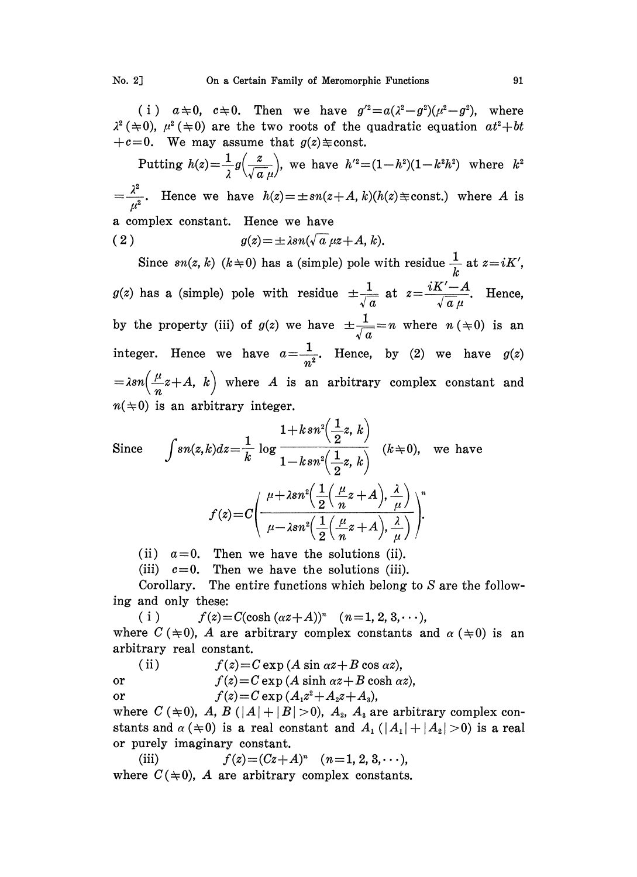(i)  $a \neq 0$ ,  $c \neq 0$ . Then we have  $g'^2 = a(\lambda^2 - g^2)(\mu^2 - g^2)$ , where  $\lambda^2$  ( $\neq$ 0),  $\mu^2$  ( $\neq$ 0) are the two roots of the quadratic equation  $at^2+bt$  $+c=0$ . We may assume that  $g(z) \equiv \text{const.}$ 

 $\lambda$   $\lambda$ Putting  $h(z) = \frac{1}{\lambda} g\left(\frac{z}{\sqrt{a}\mu}\right)$ , we have  $h'^2 = (1-h^2)(1-k^2h^2)$  where k  $=\frac{\lambda^2}{n^2}$ . Hence we have  $h(z)=\pm sn(z+A, k)(h(z) \pm const.)$  where A is a complex constant. Hence we have ( 2 )  $g(z) = \pm \lambda sn(\sqrt{a} \mu z + A, k).$ 

Since  $sn(z, k)$   $(k \pm 0)$  has a (simple) pole with residue  $\frac{1}{k}$  at  $z = iK'$ ,  $\frac{1}{k}$  at  $z=iK'$ ,<br>  $\frac{-A}{\pi \mu}$ . Hence,<br>  $n \ (\div 0)$  is an  $g(z)$  has a (simple) pole with residue  $\pm \frac{1}{\sqrt{a}}$  at  $z = \frac{iK'-A}{\sqrt{a}\mu}$ . Hence, <br>by the property (iii) of  $g(z)$  we have  $\pm \frac{1}{\sqrt{a}} = n$  where  $n \, (\pm 0)$  is an integer. Hence we have  $a=\frac{1}{n^2}$ . Hence, by (2) we have  $g(z)$  $= \lambda sn \left(\frac{\mu}{n}z+A, k\right)$  where A is an arbitrary complex constant and  $n(\pm 0)$  is an arbitrary integer.

Since 
$$
\int sn(z,k)dz = \frac{1}{k} \log \frac{1+ksn^2(\frac{1}{2}z, k)}{1-ksn^2(\frac{1}{2}z, k)} \quad (k \neq 0), \text{ we have}
$$

$$
f(z) = C \left( \frac{\mu+\lambda sn^2(\frac{1}{2}(\frac{\mu}{n}z+A), \frac{\lambda}{\mu}))}{\mu-\lambda sn^2(\frac{1}{2}(\frac{\mu}{n}z+A), \frac{\lambda}{\mu})} \right)^n
$$

(ii)  $a=0$ . Then we have the solutions (ii).

(iii)  $c=0$ . Then we have the solutions (iii).

Corollary. The entire functions which belong to S are the following and only these:

 $f(z) = C(\cosh (\alpha z + A))^n$  (n=1, 2, 3,...),  $(i)$ where  $C (\pm 0)$ , A are arbitrary complex constants and  $\alpha (\pm 0)$  is an arbitrary real constant.

(ii)  $f(z) = C \exp (A \sin \alpha z + B \cos \alpha z),$ or  $f(z) = C \exp (A \sinh \alpha z + B \cosh \alpha z)$ , or  $f(z) = C \exp (A_1 z^2 + A_2 z + A_3),$ 

where  $C (\pm 0)$ , A, B  $(|A|+|B|>0)$ , A<sub>2</sub>, A<sub>3</sub> are arbitrary complex constants and  $\alpha$  ( $\neq$ 0) is a real constant and  $A_1$  ( $|A_1| + |A_2| > 0$ ) is a real or purely imaginary constant.

(iii)  $f(z)=(Cz+A)^n$   $(n=1, 2, 3, \cdots),$ where  $C(\pm 0)$ , A are arbitrary complex constants.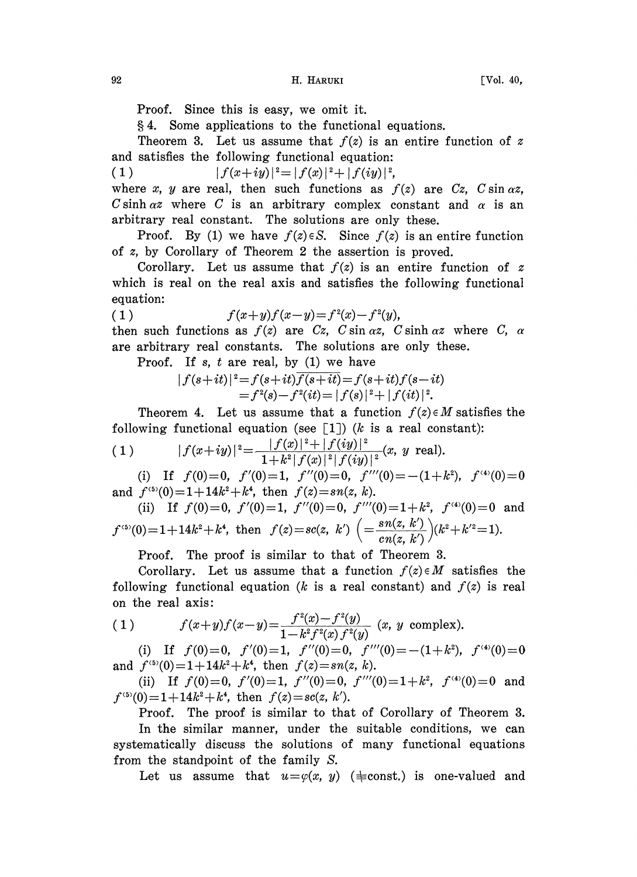Proof. Since this is easy, we omit it.

4. Some applications to the functional equations.

Theorem 3. Let us assume that  $f(z)$  is an entire function of z and satisfies the following functional equation:

(1)  $|f(x+iy)|^2 = |f(x)|^2 + |f(iy)|^2$ ,<br>where x, y are real, then such functions as j where x, y are real, then such functions as  $f(z)$  are  $Cz$ ,  $C \sin \alpha z$ , C sinh  $\alpha z$  where C is an arbitrary complex constant and  $\alpha$  is an arbitrary real constant. The solutions are only these.

Proof. By (1) we have  $f(z) \in S$ . Since  $f(z)$  is an entire function of z, by Corollary of Theorem 2 the assertion is proved.

Corollary. Let us assume that  $f(z)$  is an entire function of z which is real on the real axis and satisfies the following functional equation:

(1) 
$$
f(x+y)f(x-y)=f^{2}(x)-f^{2}(y),
$$

then such functions as  $f(z)$  are Cz, C sin  $\alpha z$ , C sinh  $\alpha z$  where C,  $\alpha$ are arbitrary real constants. The solutions are only these.

Proof. If s,  $t$  are real, by  $(1)$  we have

$$
|f(s+it)|^2 = f(s+it)\overline{f(s+it)} = f(s+it)f(s-it)
$$
  
=  $f^2(s) - f^2(it) = |f(s)|^2 + |f(it)|^2$ .

Theorem 4. Let us assume that a function  $f(z) \in M$  satisfies the following functional equation (see  $[1]$ ) (k is a real constant):

(1) 
$$
|f(x+iy)|^2 = \frac{|f(x)|^2 + |f(iy)|^2}{1 + k^2 |f(x)|^2 |f(iy)|^2} (x, y \text{ real}).
$$

(i) If  $f(0)=0$ ,  $f'(0)=1$ ,  $f''(0)=0$ ,  $f'''(0)=-\frac{(1+k^2)}{k}$ ,  $f^{(4)}(0)=0$ and  $f^{(5)}(0)=1+14k^2+k^4$ , then  $f(z)=sn(z, k)$ .

(ii) If 
$$
f(0)=0
$$
,  $f'(0)=1$ ,  $f''(0)=0$ ,  $f'''(0)=1+k^2$ ,  $f^{(4)}(0)=0$  and  $f^{(5)}(0)=1+14k^2+k^4$ , then  $f(z)=sc(z, k')\left( =\frac{sn(z, k')}{cn(z, k')} \right)(k^2+k'^2=1)$ .

Proof. The proof is similar to that of Theorem 3.

Corollary. Let us assume that a function  $f(z) \in M$  satisfies the following functional equation (k is a real constant) and  $f(z)$  is real on the real axis:

(1) 
$$
f(x+y)f(x-y) = \frac{f^{2}(x)-f^{2}(y)}{1-k^{2}f^{2}(x)f^{2}(y)} \quad (x, y \text{ complex}).
$$

(i) If  $f(0)=0$ ,  $f'(0)=1$ ,  $f''(0)=0$ ,  $f'''(0) = -(1+k^2)$ ,  $f^{(4)}(0)=0$ and  $f^{(5)}(0)=1+14k^2+k^4$ , then  $f(z)=sn(z, k)$ .

(ii) If  $f(0)=0$ ,  $f'(0)=1$ ,  $f''(0)=0$ ,  $f'''(0)=1+k^2$ ,  $f^{(4)}(0)=0$  and  $f^{(5)}(0)=1+14k^2+k^4$ , then  $f(z)=sc(z, k').$ 

Proof. The proof is similar to that of Corollary of Theorem 3.

In the similar manner, under the suitable conditions, we can systematically discuss the solutions of many functional equations from the standpoint of the family S.

Let us assume that  $u = \varphi(x, y)$  ( $\neq$ const.) is one-valued and